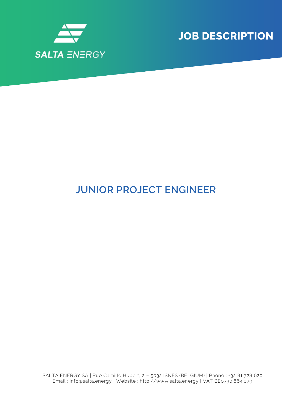

**JOB DESCRIPTION**

## **JUNIOR PROJECT ENGINEER**

SALTA ENERGY SA | Rue Camille Hubert, 2 – 5032 ISNES (BELGIUM) | Phone : +32 81 728 620 Email : info@salta.energy | Website : http://www.salta.energy | VAT BE0730.664.079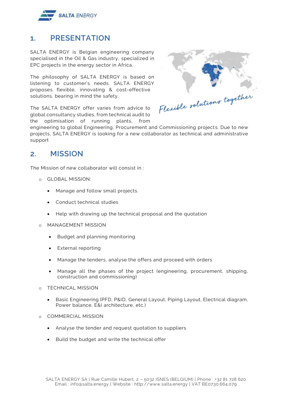

## **1. PRESENTATION**

SALTA ENERGY is Belgian engineering company specialised in the Oil & Gas industry, specialized in EPC projects in the energy sector in Africa.

The philosophy of SALTA ENERGY is based on listening to customer's needs. SALTA ENERGY proposes flexible, innovating & cost-effective solutions, bearing in mind the safety.

The SALTA ENERGY offer varies from advice to global consultancy studies, from technical audit to the optimisation of running plants, from



engineering to global Engineering, Procurement and Commissioning projects. Due to new projects, SALTA ENERGY is looking for a new collaborator as technical and administrative support

## **2. MISSION**

The Mission of new collaborator will consist in :

- o GLOBAL MISSION:
	- Manage and follow small projects.
	- Conduct technical studies
	- Help with drawing up the technical proposal and the quotation
- o MANAGEMENT MISSION
	- Budget and planning monitoring
	- External reporting
	- Manage the tenders, analyse the offers and proceed with orders
	- Manage all the phases of the project (engineering, procurement, shipping, construction and commissioning)
- o TECHNICAL MISSION
	- Basic Engineering (PFD, P&ID, General Layout, Piping Layout, Electrical diagram, Power balance, E&I architecture, etc.)
- o COMMERCIAL MISSION
	- Analyse the tender and request quotation to suppliers
	- Build the budget and write the technical offer